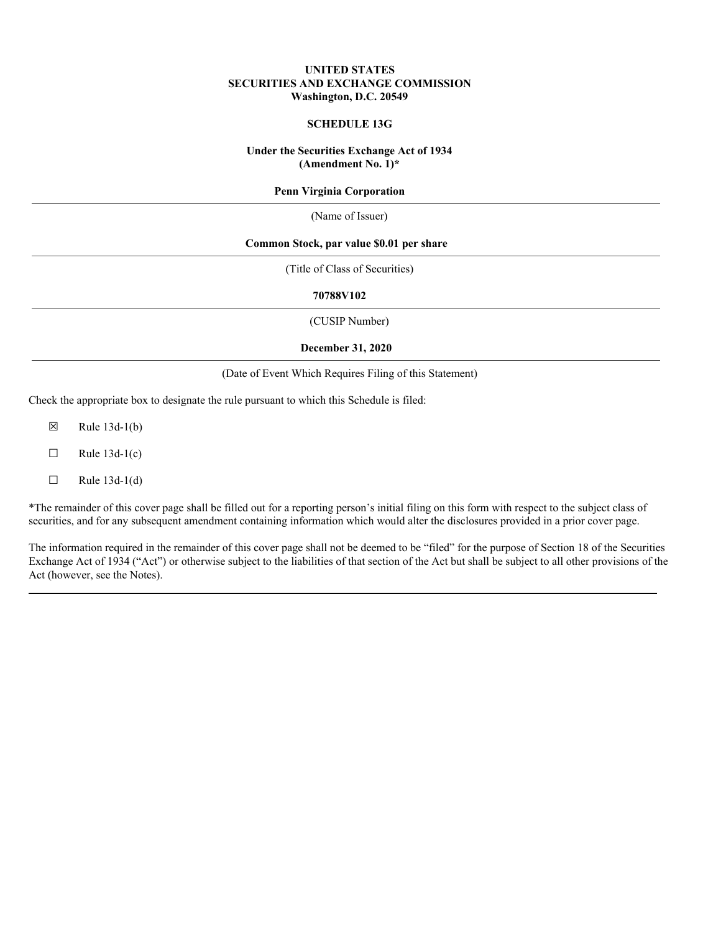### **UNITED STATES SECURITIES AND EXCHANGE COMMISSION Washington, D.C. 20549**

# **SCHEDULE 13G**

### **Under the Securities Exchange Act of 1934 (Amendment No. 1)\***

### **Penn Virginia Corporation**

(Name of Issuer)

### **Common Stock, par value \$0.01 per share**

(Title of Class of Securities)

#### **70788V102**

(CUSIP Number)

#### **December 31, 2020**

#### (Date of Event Which Requires Filing of this Statement)

Check the appropriate box to designate the rule pursuant to which this Schedule is filed:

- $\boxtimes$  Rule 13d-1(b)
- $\Box$  Rule 13d-1(c)
- $\Box$  Rule 13d-1(d)

\*The remainder of this cover page shall be filled out for a reporting person's initial filing on this form with respect to the subject class of securities, and for any subsequent amendment containing information which would alter the disclosures provided in a prior cover page.

The information required in the remainder of this cover page shall not be deemed to be "filed" for the purpose of Section 18 of the Securities Exchange Act of 1934 ("Act") or otherwise subject to the liabilities of that section of the Act but shall be subject to all other provisions of the Act (however, see the Notes).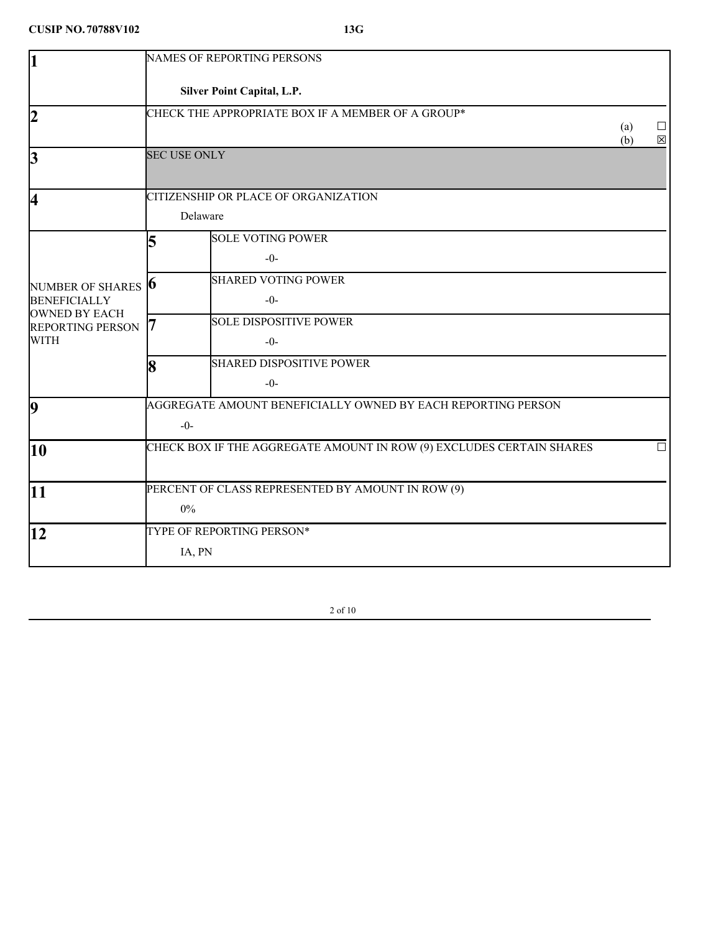| l1                                                                          |                     | <b>NAMES OF REPORTING PERSONS</b>                                    |     |             |
|-----------------------------------------------------------------------------|---------------------|----------------------------------------------------------------------|-----|-------------|
|                                                                             |                     | Silver Point Capital, L.P.                                           |     |             |
| 12                                                                          |                     | CHECK THE APPROPRIATE BOX IF A MEMBER OF A GROUP*                    | (a) | $\perp$     |
| 3                                                                           | <b>SEC USE ONLY</b> |                                                                      | (b) | $\boxtimes$ |
| 4                                                                           |                     | CITIZENSHIP OR PLACE OF ORGANIZATION                                 |     |             |
|                                                                             | Delaware            |                                                                      |     |             |
|                                                                             | 5                   | <b>SOLE VOTING POWER</b>                                             |     |             |
|                                                                             |                     | $-0-$                                                                |     |             |
| NUMBER OF SHARES <b>6</b>                                                   |                     | <b>SHARED VOTING POWER</b>                                           |     |             |
| <b>BENEFICIALLY</b><br><b>OWNED BY EACH</b>                                 |                     | $-0-$                                                                |     |             |
| <b>REPORTING PERSON</b>                                                     |                     | <b>SOLE DISPOSITIVE POWER</b>                                        |     |             |
| <b>WITH</b>                                                                 |                     | $-0-$                                                                |     |             |
|                                                                             | 18                  | <b>SHARED DISPOSITIVE POWER</b>                                      |     |             |
|                                                                             |                     | $-0-$                                                                |     |             |
| AGGREGATE AMOUNT BENEFICIALLY OWNED BY EACH REPORTING PERSON<br>$ 9\rangle$ |                     |                                                                      |     |             |
|                                                                             | $-0-$               |                                                                      |     |             |
| 10                                                                          |                     | CHECK BOX IF THE AGGREGATE AMOUNT IN ROW (9) EXCLUDES CERTAIN SHARES |     | $\Box$      |
| 11                                                                          |                     | PERCENT OF CLASS REPRESENTED BY AMOUNT IN ROW (9)                    |     |             |
|                                                                             | $0\%$               |                                                                      |     |             |
| 12                                                                          |                     | TYPE OF REPORTING PERSON*                                            |     |             |
|                                                                             | IA, PN              |                                                                      |     |             |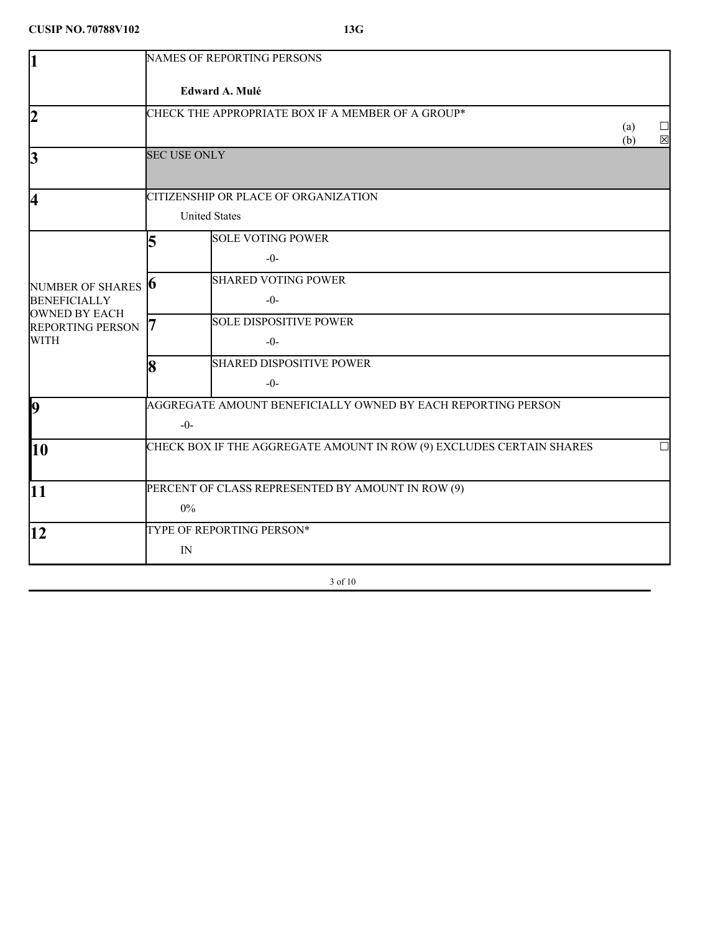| 1                                                                        | <b>NAMES OF REPORTING PERSONS</b>                                     |                           |
|--------------------------------------------------------------------------|-----------------------------------------------------------------------|---------------------------|
|                                                                          | Edward A. Mulé                                                        |                           |
| $\overline{2}$                                                           | CHECK THE APPROPRIATE BOX IF A MEMBER OF A GROUP*                     | (a)<br>$\boxtimes$<br>(b) |
| 3                                                                        | <b>SEC USE ONLY</b>                                                   |                           |
| 4                                                                        | CITIZENSHIP OR PLACE OF ORGANIZATION                                  |                           |
|                                                                          | <b>United States</b>                                                  |                           |
|                                                                          | <b>SOLE VOTING POWER</b><br>5<br>$-0-$                                |                           |
| NUMBER OF SHARES <b>6</b><br><b>BENEFICIALLY</b><br><b>OWNED BY EACH</b> | <b>SHARED VOTING POWER</b><br>$-0-$                                   |                           |
| <b>REPORTING PERSON</b><br><b>WITH</b>                                   | <b>SOLE DISPOSITIVE POWER</b><br>$-0-$                                |                           |
|                                                                          | <b>SHARED DISPOSITIVE POWER</b><br>8<br>$-0-$                         |                           |
| <b>b</b>                                                                 | AGGREGATE AMOUNT BENEFICIALLY OWNED BY EACH REPORTING PERSON<br>$-0-$ |                           |
| 10                                                                       | CHECK BOX IF THE AGGREGATE AMOUNT IN ROW (9) EXCLUDES CERTAIN SHARES  |                           |
| 11                                                                       | PERCENT OF CLASS REPRESENTED BY AMOUNT IN ROW (9)<br>$0\%$            |                           |
| 12                                                                       | TYPE OF REPORTING PERSON*<br>IN                                       |                           |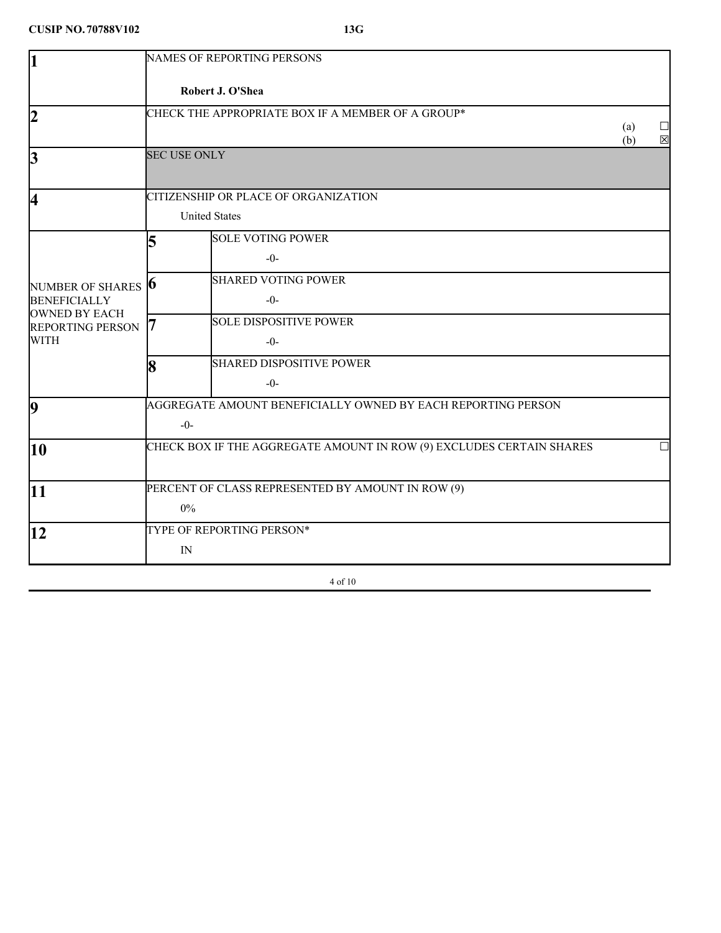| 1                                                                                                                  | <b>NAMES OF REPORTING PERSONS</b>                                     |                           |
|--------------------------------------------------------------------------------------------------------------------|-----------------------------------------------------------------------|---------------------------|
|                                                                                                                    | Robert J. O'Shea                                                      |                           |
| $\overline{2}$                                                                                                     | CHECK THE APPROPRIATE BOX IF A MEMBER OF A GROUP*                     | (a)<br>$\boxtimes$<br>(b) |
| 3                                                                                                                  | <b>SEC USE ONLY</b>                                                   |                           |
| 4                                                                                                                  | CITIZENSHIP OR PLACE OF ORGANIZATION                                  |                           |
|                                                                                                                    | <b>United States</b>                                                  |                           |
|                                                                                                                    | <b>SOLE VOTING POWER</b><br>5<br>$-0-$                                |                           |
| NUMBER OF SHARES <b>6</b><br><b>BENEFICIALLY</b><br><b>OWNED BY EACH</b><br><b>REPORTING PERSON</b><br><b>WITH</b> | <b>SHARED VOTING POWER</b><br>$-0-$                                   |                           |
|                                                                                                                    | <b>SOLE DISPOSITIVE POWER</b><br>$-0-$                                |                           |
|                                                                                                                    | <b>SHARED DISPOSITIVE POWER</b><br>8<br>$-0-$                         |                           |
| $\vert$ 9                                                                                                          | AGGREGATE AMOUNT BENEFICIALLY OWNED BY EACH REPORTING PERSON<br>$-0-$ |                           |
| 10                                                                                                                 | CHECK BOX IF THE AGGREGATE AMOUNT IN ROW (9) EXCLUDES CERTAIN SHARES  |                           |
| 11                                                                                                                 | PERCENT OF CLASS REPRESENTED BY AMOUNT IN ROW (9)<br>$0\%$            |                           |
| 12                                                                                                                 | TYPE OF REPORTING PERSON*<br>IN                                       |                           |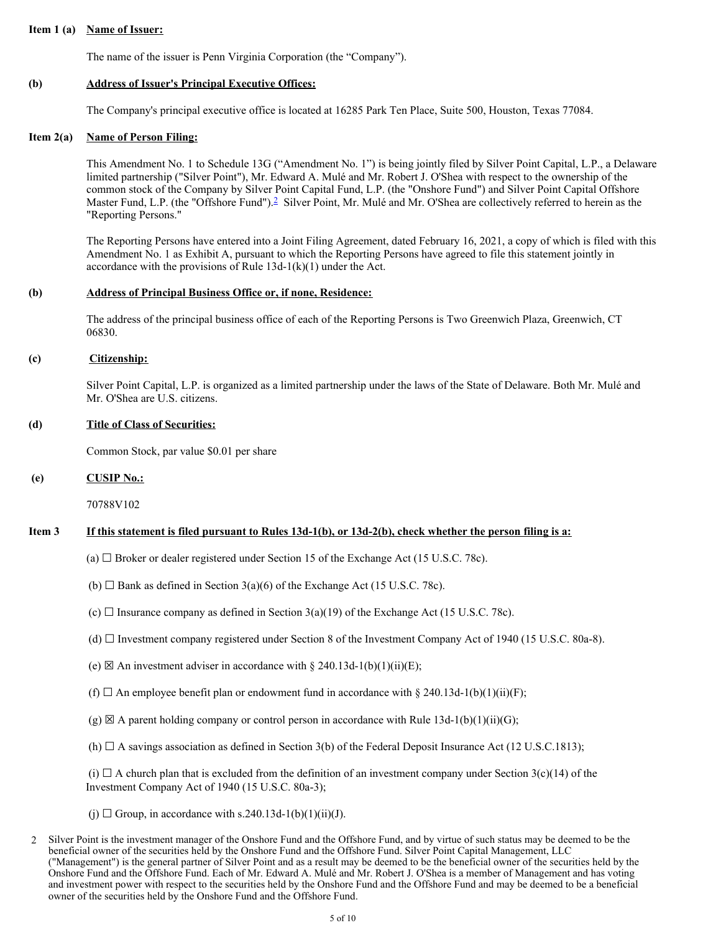#### **Item 1 (a) Name of Issuer:**

The name of the issuer is Penn Virginia Corporation (the "Company").

### **(b) Address of Issuer's Principal Executive Offices:**

The Company's principal executive office is located at 16285 Park Ten Place, Suite 500, Houston, Texas 77084.

### **Item 2(a) Name of Person Filing:**

This Amendment No. 1 to Schedule 13G ("Amendment No. 1") is being jointly filed by Silver Point Capital, L.P., a Delaware limited partnership ("Silver Point"), Mr. Edward A. Mulé and Mr. Robert J. O'Shea with respect to the ownership of the common stock of the Company by Silver Point Capital Fund, L.P. (the "Onshore Fund") and Silver Point Capital Offshore Master Fund, L.P. (the "Offshore Fund").[2](#page-4-0) Silver Point, Mr. Mulé and Mr. O'Shea are collectively referred to herein as the "Reporting Persons."

The Reporting Persons have entered into a Joint Filing Agreement, dated February 16, 2021, a copy of which is filed with this Amendment No. 1 as Exhibit A, pursuant to which the Reporting Persons have agreed to file this statement jointly in accordance with the provisions of Rule 13d-1(k)(1) under the Act.

### **(b) Address of Principal Business Office or, if none, Residence:**

The address of the principal business office of each of the Reporting Persons is Two Greenwich Plaza, Greenwich, CT 06830.

## **(c) Citizenship:**

Silver Point Capital, L.P. is organized as a limited partnership under the laws of the State of Delaware. Both Mr. Mulé and Mr. O'Shea are U.S. citizens.

### **(d) Title of Class of Securities:**

Common Stock, par value \$0.01 per share

### **(e) CUSIP No.:**

70788V102

## Item 3 If this statement is filed pursuant to Rules 13d-1(b), or 13d-2(b), check whether the person filing is a:

- (a)  $\Box$  Broker or dealer registered under Section 15 of the Exchange Act (15 U.S.C. 78c).
- (b)  $\Box$  Bank as defined in Section 3(a)(6) of the Exchange Act (15 U.S.C. 78c).
- (c)  $\Box$  Insurance company as defined in Section 3(a)(19) of the Exchange Act (15 U.S.C. 78c).
- (d) ☐ Investment company registered under Section 8 of the Investment Company Act of 1940 (15 U.S.C. 80a-8).
- (e)  $\boxtimes$  An investment adviser in accordance with § 240.13d-1(b)(1)(ii)(E);
- (f)  $\Box$  An employee benefit plan or endowment fund in accordance with § 240.13d-1(b)(1)(ii)(F);
- $(g) \boxtimes A$  parent holding company or control person in accordance with Rule 13d-1(b)(1)(ii)(G);
- (h)  $\Box$  A savings association as defined in Section 3(b) of the Federal Deposit Insurance Act (12 U.S.C.1813);

(i)  $\Box$  A church plan that is excluded from the definition of an investment company under Section 3(c)(14) of the Investment Company Act of 1940 (15 U.S.C. 80a-3);

(j)  $\Box$  Group, in accordance with s.240.13d-1(b)(1)(ii)(J).

<span id="page-4-0"></span><sup>2</sup> Silver Point is the investment manager of the Onshore Fund and the Offshore Fund, and by virtue of such status may be deemed to be the beneficial owner of the securities held by the Onshore Fund and the Offshore Fund. Silver Point Capital Management, LLC ("Management") is the general partner of Silver Point and as a result may be deemed to be the beneficial owner of the securities held by the Onshore Fund and the Offshore Fund. Each of Mr. Edward A. Mulé and Mr. Robert J. O'Shea is a member of Management and has voting and investment power with respect to the securities held by the Onshore Fund and the Offshore Fund and may be deemed to be a beneficial owner of the securities held by the Onshore Fund and the Offshore Fund.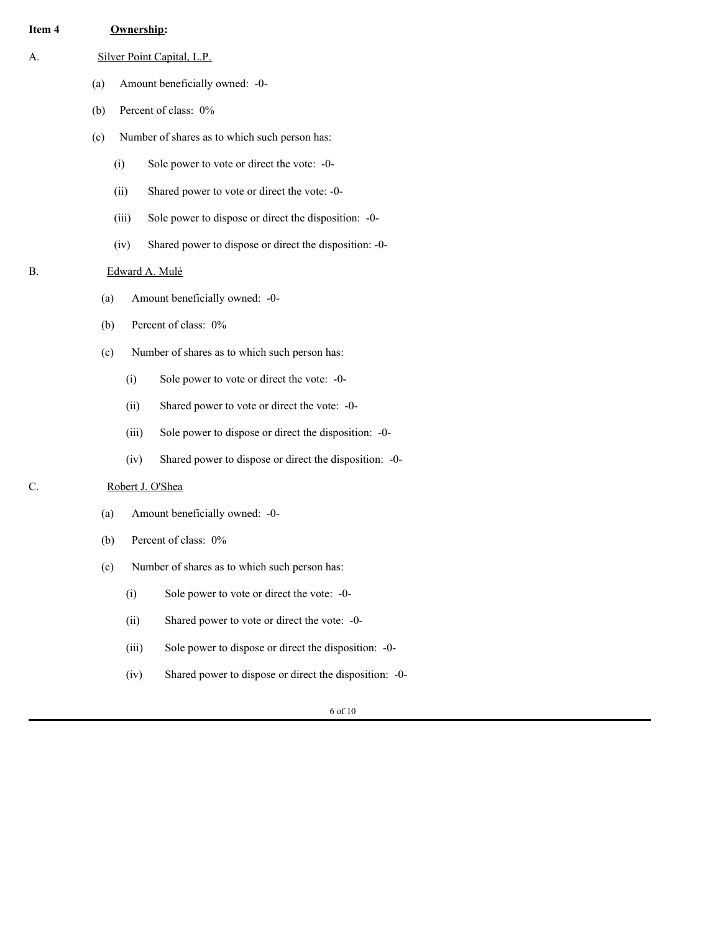## **Item 4 Ownership:**

- A. Silver Point Capital, L.P.
	- (a) Amount beneficially owned: -0-
	- (b) Percent of class: 0%
	- (c) Number of shares as to which such person has:
		- (i) Sole power to vote or direct the vote: -0-
		- (ii) Shared power to vote or direct the vote: -0-
		- (iii) Sole power to dispose or direct the disposition: -0-
		- (iv) Shared power to dispose or direct the disposition: -0-

## B. Edward A. Mulé

- (a) Amount beneficially owned: -0-
- (b) Percent of class: 0%
- (c) Number of shares as to which such person has:
	- (i) Sole power to vote or direct the vote: -0-
	- (ii) Shared power to vote or direct the vote: -0-
	- (iii) Sole power to dispose or direct the disposition: -0-
	- (iv) Shared power to dispose or direct the disposition: -0-

# C. Robert J. O'Shea

- (a) Amount beneficially owned: -0-
- (b) Percent of class: 0%
- (c) Number of shares as to which such person has:
	- (i) Sole power to vote or direct the vote: -0-
	- (ii) Shared power to vote or direct the vote: -0-
	- (iii) Sole power to dispose or direct the disposition: -0-
	- (iv) Shared power to dispose or direct the disposition: -0-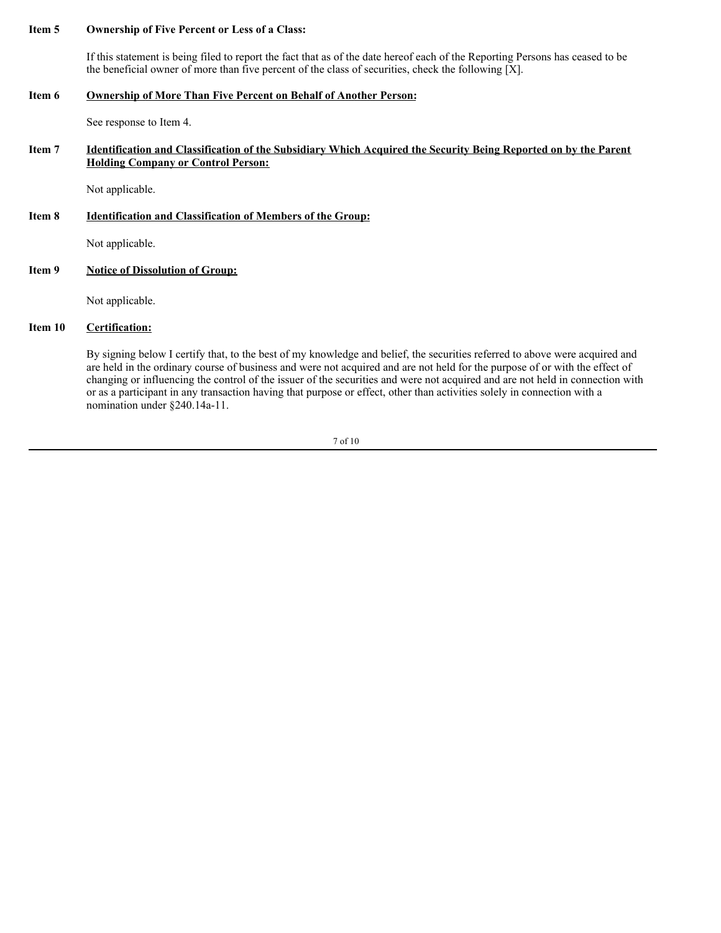# **Item 5 Ownership of Five Percent or Less of a Class:**

If this statement is being filed to report the fact that as of the date hereof each of the Reporting Persons has ceased to be the beneficial owner of more than five percent of the class of securities, check the following [X].

### **Item 6 Ownership of More Than Five Percent on Behalf of Another Person:**

See response to Item 4.

## Item 7 Identification and Classification of the Subsidiary Which Acquired the Security Being Reported on by the Parent **Holding Company or Control Person:**

Not applicable.

### **Item 8 Identification and Classification of Members of the Group:**

Not applicable.

## **Item 9 Notice of Dissolution of Group:**

Not applicable.

# **Item 10 Certification:**

By signing below I certify that, to the best of my knowledge and belief, the securities referred to above were acquired and are held in the ordinary course of business and were not acquired and are not held for the purpose of or with the effect of changing or influencing the control of the issuer of the securities and were not acquired and are not held in connection with or as a participant in any transaction having that purpose or effect, other than activities solely in connection with a nomination under §240.14a-11.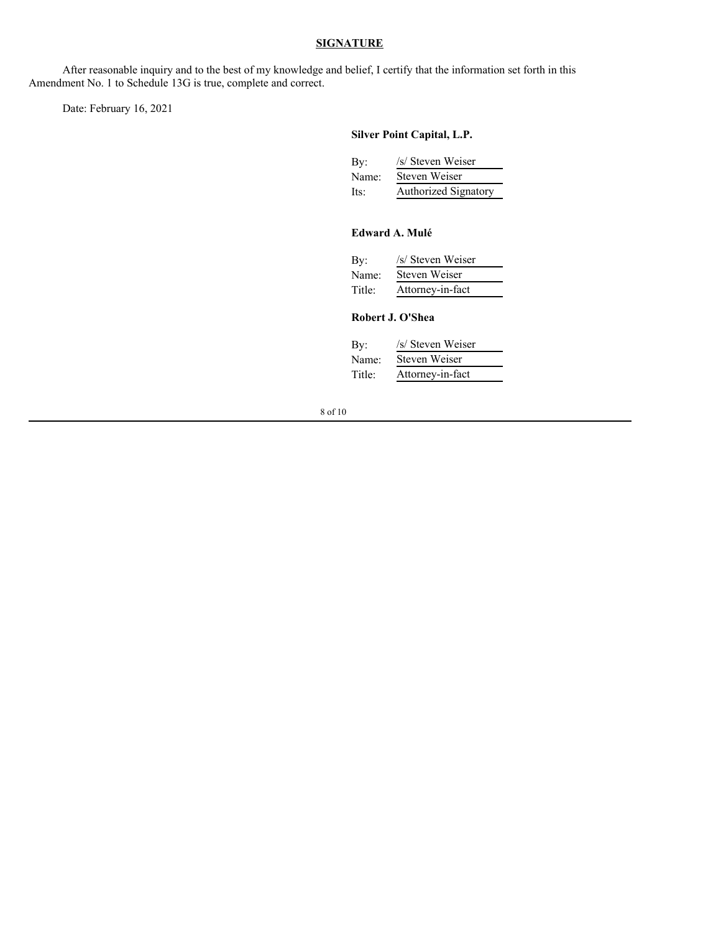## **SIGNATURE**

After reasonable inquiry and to the best of my knowledge and belief, I certify that the information set forth in this Amendment No. 1 to Schedule 13G is true, complete and correct.

Date: February 16, 2021

# **Silver Point Capital, L.P.**

| By:   | /s/ Steven Weiser    |
|-------|----------------------|
| Name: | Steven Weiser        |
| Its:  | Authorized Signatory |

# **Edward A. Mulé**

| /s/ Steven Weiser |
|-------------------|
| Steven Weiser     |
| Attorney-in-fact  |
|                   |

# **Robert J. O'Shea**

| /s/ Steven Weiser |
|-------------------|
| Steven Weiser     |
| Attorney-in-fact  |
|                   |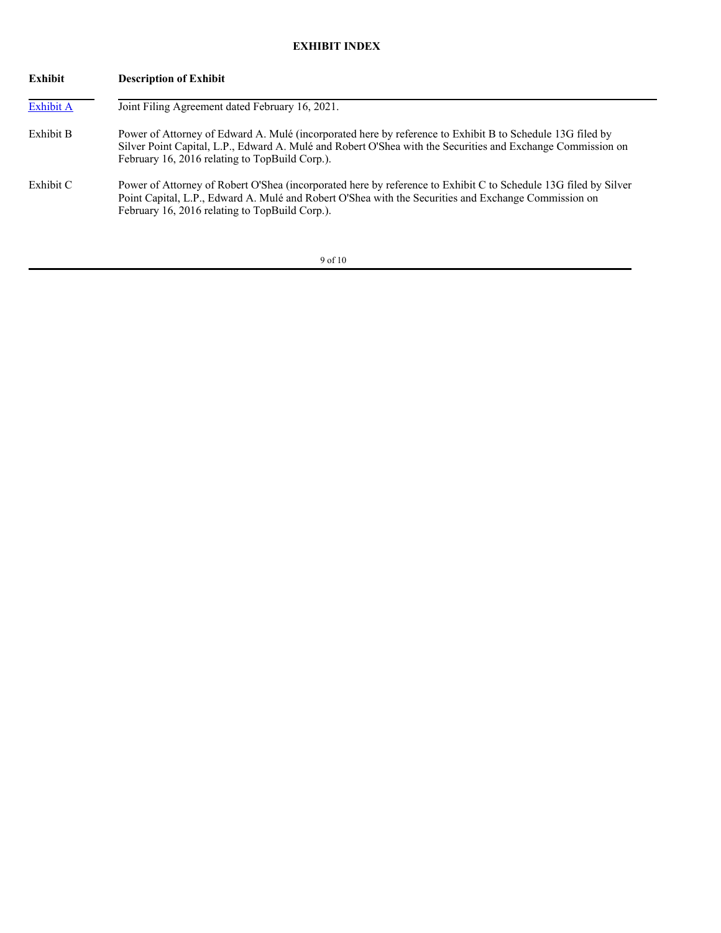# **EXHIBIT INDEX**

| Exhibit   | <b>Description of Exhibit</b>                                                                                                                                                                                                                                              |  |  |
|-----------|----------------------------------------------------------------------------------------------------------------------------------------------------------------------------------------------------------------------------------------------------------------------------|--|--|
| Exhibit A | Joint Filing Agreement dated February 16, 2021.                                                                                                                                                                                                                            |  |  |
| Exhibit B | Power of Attorney of Edward A. Mulé (incorporated here by reference to Exhibit B to Schedule 13G filed by<br>Silver Point Capital, L.P., Edward A. Mulé and Robert O'Shea with the Securities and Exchange Commission on<br>February 16, 2016 relating to TopBuild Corp.). |  |  |
| Exhibit C | Power of Attorney of Robert O'Shea (incorporated here by reference to Exhibit C to Schedule 13G filed by Silver<br>Point Capital, L.P., Edward A. Mulé and Robert O'Shea with the Securities and Exchange Commission on<br>February 16, 2016 relating to TopBuild Corp.).  |  |  |